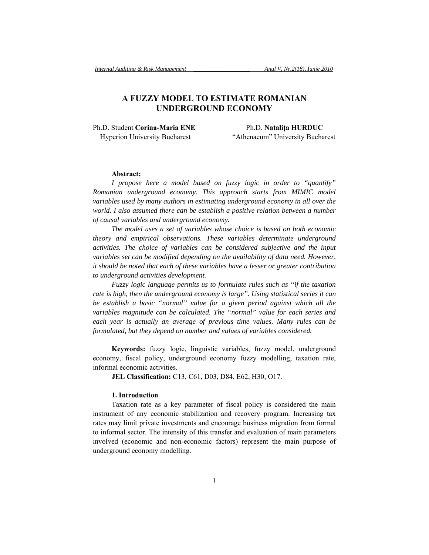# **A FUZZY MODEL TO ESTIMATE ROMANIAN UNDERGROUND ECONOMY**

Ph.D. Student **Corina-Maria ENE** Ph.D. **Nataliţa HURDUC**

Hyperion University Bucharest "Athenaeum" University Bucharest

## **Abstract:**

*I propose here a model based on fuzzy logic in order to "quantify" Romanian underground economy. This approach starts from MIMIC model variables used by many authors in estimating underground economy in all over the world. I also assumed there can be establish a positive relation between a number of causal variables and underground economy.* 

*The model uses a set of variables whose choice is based on both economic theory and empirical observations. These variables determinate underground activities. The choice of variables can be considered subjective and the input variables set can be modified depending on the availability of data need. However, it should be noted that each of these variables have a lesser or greater contribution to underground activities development.* 

*Fuzzy logic language permits us to formulate rules such as "if the taxation rate is high, then the underground economy is large". Using statistical series it can be establish a basic "normal" value for a given period against which all the variables magnitude can be calculated. The "normal" value for each series and*  each year is actually an average of previous time values. Many rules can be *formulated, but they depend on number and values of variables considered.* 

**Keywords:** fuzzy logic, linguistic variables, fuzzy model, underground economy, fiscal policy, underground economy fuzzy modelling, taxation rate, informal economic activities.

**JEL Classification:** C13, C61, D03, D84, E62, H30, O17.

#### **1. Introduction**

Taxation rate as a key parameter of fiscal policy is considered the main instrument of any economic stabilization and recovery program. Increasing tax rates may limit private investments and encourage business migration from formal to informal sector. The intensity of this transfer and evaluation of main parameters involved (economic and non-economic factors) represent the main purpose of underground economy modelling.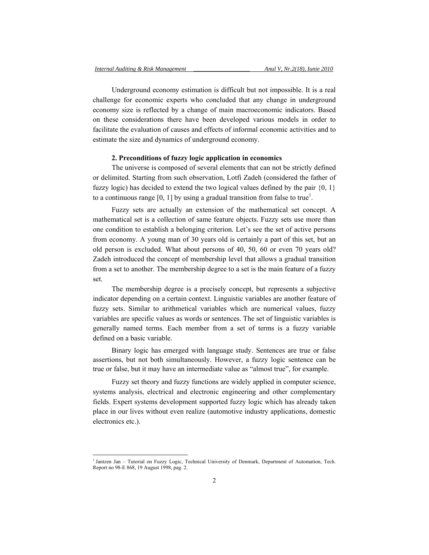Underground economy estimation is difficult but not impossible. It is a real challenge for economic experts who concluded that any change in underground economy size is reflected by a change of main macroeconomic indicators. Based on these considerations there have been developed various models in order to facilitate the evaluation of causes and effects of informal economic activities and to estimate the size and dynamics of underground economy.

# **2. Preconditions of fuzzy logic application in economics**

The universe is composed of several elements that can not be strictly defined or delimited. Starting from such observation, Lotfi Zadeh (considered the father of fuzzy logic) has decided to extend the two logical values defined by the pair  $\{0, 1\}$ to a continuous range [0, 1] by using a gradual transition from false to true<sup>1</sup>.

Fuzzy sets are actually an extension of the mathematical set concept. A mathematical set is a collection of same feature objects. Fuzzy sets use more than one condition to establish a belonging criterion. Let's see the set of active persons from economy. A young man of 30 years old is certainly a part of this set, but an old person is excluded. What about persons of 40, 50, 60 or even 70 years old? Zadeh introduced the concept of membership level that allows a gradual transition from a set to another. The membership degree to a set is the main feature of a fuzzy set.

The membership degree is a precisely concept, but represents a subjective indicator depending on a certain context. Linguistic variables are another feature of fuzzy sets. Similar to arithmetical variables which are numerical values, fuzzy variables are specific values as words or sentences. The set of linguistic variables is generally named terms. Each member from a set of terms is a fuzzy variable defined on a basic variable.

Binary logic has emerged with language study. Sentences are true or false assertions, but not both simultaneously. However, a fuzzy logic sentence can be true or false, but it may have an intermediate value as "almost true", for example.

Fuzzy set theory and fuzzy functions are widely applied in computer science, systems analysis, electrical and electronic engineering and other complementary fields. Expert systems development supported fuzzy logic which has already taken place in our lives without even realize (automotive industry applications, domestic electronics etc.).

l

<sup>&</sup>lt;sup>1</sup> Jantzen Jan – Tutorial on Fuzzy Logic, Technical University of Denmark, Department of Automation, Tech. Report no 98-E 868, 19 August 1998, pag. 2.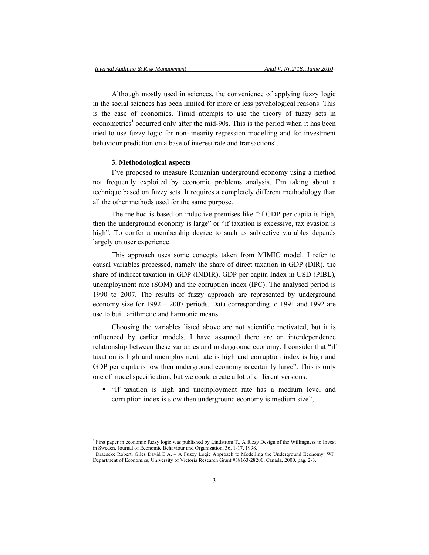Although mostly used in sciences, the convenience of applying fuzzy logic in the social sciences has been limited for more or less psychological reasons. This is the case of economics. Timid attempts to use the theory of fuzzy sets in econometrics<sup>1</sup> occurred only after the mid-90s. This is the period when it has been tried to use fuzzy logic for non-linearity regression modelling and for investment behaviour prediction on a base of interest rate and transactions<sup>2</sup>.

#### **3. Methodological aspects**

l

I've proposed to measure Romanian underground economy using a method not frequently exploited by economic problems analysis. I'm taking about a technique based on fuzzy sets. It requires a completely different methodology than all the other methods used for the same purpose.

The method is based on inductive premises like "if GDP per capita is high, then the underground economy is large" or "if taxation is excessive, tax evasion is high". To confer a membership degree to such as subjective variables depends largely on user experience.

This approach uses some concepts taken from MIMIC model. I refer to causal variables processed, namely the share of direct taxation in GDP (DIR), the share of indirect taxation in GDP (INDIR), GDP per capita Index in USD (PIBL), unemployment rate (SOM) and the corruption index (IPC). The analysed period is 1990 to 2007. The results of fuzzy approach are represented by underground economy size for 1992 – 2007 periods. Data corresponding to 1991 and 1992 are use to built arithmetic and harmonic means.

Choosing the variables listed above are not scientific motivated, but it is influenced by earlier models. I have assumed there are an interdependence relationship between these variables and underground economy. I consider that "if taxation is high and unemployment rate is high and corruption index is high and GDP per capita is low then underground economy is certainly large". This is only one of model specification, but we could create a lot of different versions:

 "If taxation is high and unemployment rate has a medium level and corruption index is slow then underground economy is medium size";

<sup>&</sup>lt;sup>1</sup> First paper in economic fuzzy logic was published by Lindstrom T., A fuzzy Design of the Willingness to Invest in Sweden, Journal of Economic Behaviour and Organization, 36, 1-17, 1998.

<sup>&</sup>lt;sup>2</sup> Draeseke Robert, Giles David E.A. – A Fuzzy Logic Approach to Modelling the Underground Economy, WP, Department of Economics, University of Victoria Research Grant #38163-28200, Canada, 2000, pag. 2-3.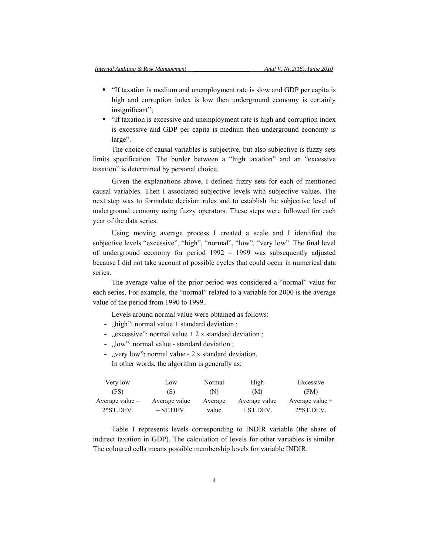- "If taxation is medium and unemployment rate is slow and GDP per capita is high and corruption index is low then underground economy is certainly insignificant";
- "If taxation is excessive and unemployment rate is high and corruption index is excessive and GDP per capita is medium then underground economy is large".

The choice of causal variables is subjective, but also subjective is fuzzy sets limits specification. The border between a "high taxation" and an "excessive taxation" is determined by personal choice.

Given the explanations above, I defined fuzzy sets for each of mentioned causal variables. Then I associated subjective levels with subjective values. The next step was to formulate decision rules and to establish the subjective level of underground economy using fuzzy operators. These steps were followed for each year of the data series.

Using moving average process I created a scale and I identified the subjective levels "excessive", "high", "normal", "low", "very low". The final level of underground economy for period 1992 – 1999 was subsequently adjusted because I did not take account of possible cycles that could occur in numerical data series.

The average value of the prior period was considered a "normal" value for each series. For example, the "normal" related to a variable for 2000 is the average value of the period from 1990 to 1999.

Levels around normal value were obtained as follows:

- "high": normal value  $+$  standard deviation;
- $,$  excessive": normal value + 2 x standard deviation;
- ... low": normal value standard deviation ;
- "very low": normal value 2 x standard deviation.

In other words, the algorithm is generally as:

| Very low          | Low           | Normal  | High          | Excessive         |
|-------------------|---------------|---------|---------------|-------------------|
| (FS)              | (S)           | (N)     | (M)           | (FM)              |
| Average value $-$ | Average value | Average | Average value | Average value $+$ |
| $2*ST.DEV$        | $-$ ST DEV.   | value   | $+$ ST DEV.   | $2*ST.DEV$        |

Table 1 represents levels corresponding to INDIR variable (the share of indirect taxation in GDP). The calculation of levels for other variables is similar. The coloured cells means possible membership levels for variable INDIR.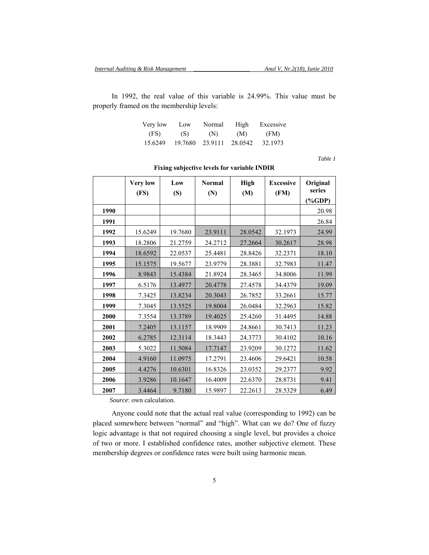In 1992, the real value of this variable is 24.99%. This value must be properly framed on the membership levels:

| Very low | Low     | Normal  | High    | Excessive |
|----------|---------|---------|---------|-----------|
| (FS)     | (S)     | (N)     | (M)     | (FM)      |
| 15.6249  | 19.7680 | 23.9111 | 28.0542 | 32.1973   |

*Table 1* 

|      | <b>Very low</b><br>(FS) | Low<br>(S) | <b>Normal</b><br>(N) | <b>High</b><br>(M) | <b>Excessive</b><br>(FM) | Original<br>series<br>$(*GDP)$ |
|------|-------------------------|------------|----------------------|--------------------|--------------------------|--------------------------------|
| 1990 |                         |            |                      |                    |                          | 20.98                          |
| 1991 |                         |            |                      |                    |                          | 26.84                          |
| 1992 | 15.6249                 | 19.7680    | 23.9111              | 28.0542            | 32.1973                  | 24.99                          |
| 1993 | 18.2806                 | 21.2759    | 24.2712              | 27.2664            | 30.2617                  | 28.98                          |
| 1994 | 18.6592                 | 22.0537    | 25.4481              | 28.8426            | 32.2371                  | 18.10                          |
| 1995 | 15.1575                 | 19.5677    | 23.9779              | 28.3881            | 32.7983                  | 11.47                          |
| 1996 | 8.9843                  | 15.4384    | 21.8924              | 28.3465            | 34.8006                  | 11.99                          |
| 1997 | 6.5176                  | 13.4977    | 20.4778              | 27.4578            | 34.4379                  | 19.09                          |
| 1998 | 7.3425                  | 13.8234    | 20.3043              | 26.7852            | 33.2661                  | 15.77                          |
| 1999 | 7.3045                  | 13.5525    | 19.8004              | 26.0484            | 32.2963                  | 15.82                          |
| 2000 | 7.3554                  | 13.3789    | 19.4025              | 25.4260            | 31.4495                  | 14.88                          |
| 2001 | 7.2405                  | 13.1157    | 18.9909              | 24.8661            | 30.7413                  | 11.23                          |
| 2002 | 6.2785                  | 12.3114    | 18.3443              | 24.3773            | 30.4102                  | 10.16                          |
| 2003 | 5.3022                  | 11.5084    | 17.7147              | 23.9209            | 30.1272                  | 11.62                          |
| 2004 | 4.9160                  | 11.0975    | 17.2791              | 23.4606            | 29.6421                  | 10.58                          |
| 2005 | 4.4276                  | 10.6301    | 16.8326              | 23.0352            | 29.2377                  | 9.92                           |
| 2006 | 3.9286                  | 10.1647    | 16.4009              | 22.6370            | 28.8731                  | 9.41                           |
| 2007 | 3.4464                  | 9.7180     | 15.9897              | 22.2613            | 28.5329                  | 6.49                           |

**Fixing subjective levels for variable INDIR** 

*Source*: own calculation.

Anyone could note that the actual real value (corresponding to 1992) can be placed somewhere between "normal" and "high". What can we do? One of fuzzy logic advantage is that not required choosing a single level, but provides a choice of two or more. I established confidence rates, another subjective element. These membership degrees or confidence rates were built using harmonic mean.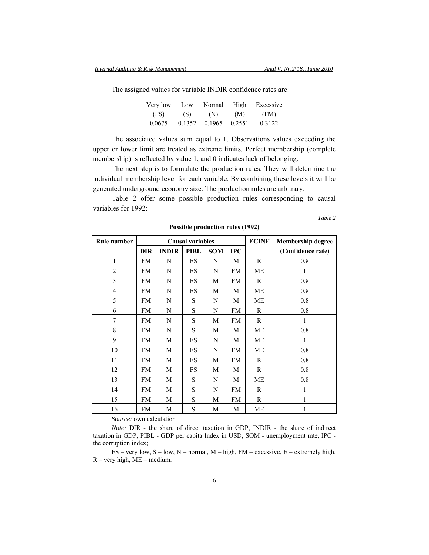The assigned values for variable INDIR confidence rates are:

| Very low | Low    | Normal | High   | Excessive |
|----------|--------|--------|--------|-----------|
| (FS)     | (S)    | (N)    | (M)    | (FM)      |
| 0.0675   | 0.1352 | 0.1965 | 0.2551 | 0.3122    |

The associated values sum equal to 1. Observations values exceeding the upper or lower limit are treated as extreme limits. Perfect membership (complete membership) is reflected by value 1, and 0 indicates lack of belonging.

The next step is to formulate the production rules. They will determine the individual membership level for each variable. By combining these levels it will be generated underground economy size. The production rules are arbitrary.

Table 2 offer some possible production rules corresponding to causal variables for 1992:

*Table 2* 

| Rule number    | <b>Causal variables</b> |              |             |            |              | <b>ECINF</b> | <b>Membership degree</b> |
|----------------|-------------------------|--------------|-------------|------------|--------------|--------------|--------------------------|
|                | <b>DIR</b>              | <b>INDIR</b> | <b>PIBL</b> | <b>SOM</b> | $_{\rm IPC}$ |              | (Confidence rate)        |
| $\mathbf{1}$   | FM                      | N            | FS          | N          | M            | R            | 0.8                      |
| $\overline{2}$ | FM                      | N            | FS          | N          | FM           | МE           |                          |
| 3              | FM                      | N            | <b>FS</b>   | М          | <b>FM</b>    | R            | 0.8                      |
| $\overline{4}$ | FM                      | N            | FS          | M          | М            | ME           | 0.8                      |
| 5              | FM                      | N            | S           | N          | М            | МE           | 0.8                      |
| 6              | FM                      | N            | S           | N          | FM           | R            | 0.8                      |
| 7              | <b>FM</b>               | N            | S           | M          | FM           | R            | 1                        |
| 8              | FM                      | N            | S           | M          | М            | ME           | 0.8                      |
| 9              | FM                      | M            | FS          | N          | М            | ME           | 1                        |
| 10             | FM                      | M            | <b>FS</b>   | N          | <b>FM</b>    | <b>ME</b>    | 0.8                      |
| 11             | FM                      | M            | <b>FS</b>   | M          | <b>FM</b>    | R            | 0.8                      |
| 12             | FM                      | M            | FS          | M          | М            | R            | 0.8                      |
| 13             | FM                      | M            | S           | N          | М            | МE           | 0.8                      |
| 14             | FM                      | M            | S           | N          | <b>FM</b>    | R            | 1                        |
| 15             | FM                      | M            | S           | M          | FM           | R            | 1                        |
| 16             | FM                      | M            | S           | М          | М            | МE           |                          |

**Possible production rules (1992)** 

*Source:* own calculation

*Note:* DIR - the share of direct taxation in GDP, INDIR - the share of indirect taxation in GDP, PIBL - GDP per capita Index in USD, SOM - unemployment rate, IPC the corruption index;

 $FS - very low, S - low, N - normal, M - high, FM - excessive, E - extremely high,$  $R - very high, ME - medium.$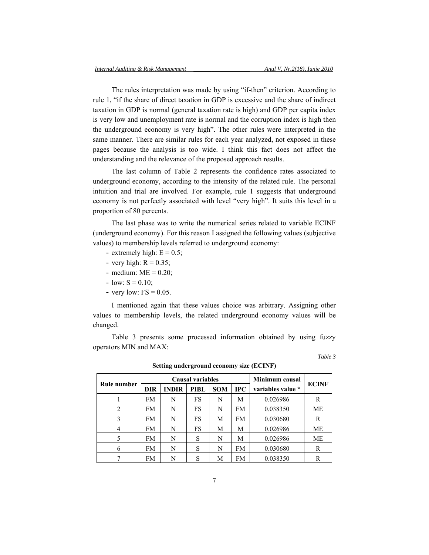The rules interpretation was made by using "if-then" criterion. According to rule 1, "if the share of direct taxation in GDP is excessive and the share of indirect taxation in GDP is normal (general taxation rate is high) and GDP per capita index is very low and unemployment rate is normal and the corruption index is high then the underground economy is very high". The other rules were interpreted in the same manner. There are similar rules for each year analyzed, not exposed in these pages because the analysis is too wide. I think this fact does not affect the understanding and the relevance of the proposed approach results.

The last column of Table 2 represents the confidence rates associated to underground economy, according to the intensity of the related rule. The personal intuition and trial are involved. For example, rule 1 suggests that underground economy is not perfectly associated with level "very high". It suits this level in a proportion of 80 percents.

The last phase was to write the numerical series related to variable ECINF (underground economy). For this reason I assigned the following values (subjective values) to membership levels referred to underground economy:

- extremely high:  $E = 0.5$ ;
- very high:  $R = 0.35$ ;
- medium:  $ME = 0.20$ ;
- $-$  low:  $S = 0.10$ :
- very low:  $FS = 0.05$ .

I mentioned again that these values choice was arbitrary. Assigning other values to membership levels, the related underground economy values will be changed.

Table 3 presents some processed information obtained by using fuzzy operators MIN and MAX:

*Table 3* 

|             |            | o            |                  |                |              |                   |              |
|-------------|------------|--------------|------------------|----------------|--------------|-------------------|--------------|
|             |            |              | Causal variables | Minimum causal |              |                   |              |
| Rule number | <b>DIR</b> | <b>INDIR</b> | PIBL             | <b>SOM</b>     | $_{\rm IPC}$ | variables value * | <b>ECINF</b> |
|             | FM         | N            | FS               | N              | М            | 0.026986          | R            |
| 2           | FM         | N            | FS               | N              | FM           | 0.038350          | MЕ           |
| 3           | FM         | N            | FS               | М              | FM           | 0.030680          | R            |
| 4           | FM         | N            | FS               | M              | М            | 0.026986          | MЕ           |
|             | FM         | N            | S                | N              | М            | 0.026986          | <b>ME</b>    |
| 6           | FM         | N            | S                | N              | FM           | 0.030680          | R            |
|             | FM         | N            | S                | М              | FM           | 0.038350          | R            |

**Setting underground economy size (ECINF)**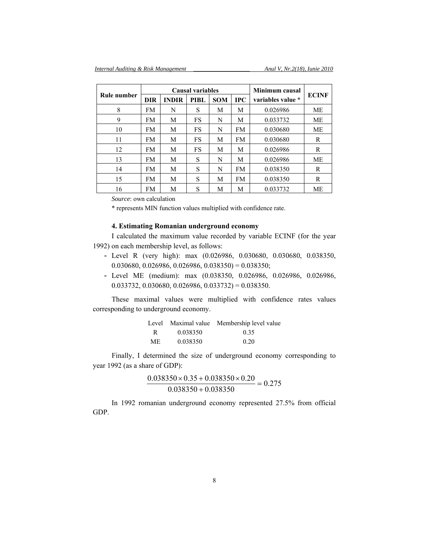|             | Causal variables |              |      |            |            | Minimum causal    |              |
|-------------|------------------|--------------|------|------------|------------|-------------------|--------------|
| Rule number | <b>DIR</b>       | <b>INDIR</b> | PIBL | <b>SOM</b> | <b>IPC</b> | variables value * | <b>ECINF</b> |
| 8           | FM               | N            | S    | M          | М          | 0.026986          | ME           |
| 9           | FM               | M            | FS   | N          | М          | 0.033732          | МE           |
| 10          | FM               | M            | FS   | N          | <b>FM</b>  | 0.030680          | <b>ME</b>    |
| 11          | FM               | М            | FS   | М          | FM         | 0.030680          | R            |
| 12          | FM               | М            | FS   | М          | М          | 0.026986          | R            |
| 13          | FM               | M            | S    | N          | M          | 0.026986          | МE           |
| 14          | FM               | М            | S    | N          | FM         | 0.038350          | R            |
| 15          | FM               | M            | S    | M          | FM         | 0.038350          | R            |
| 16          | FM               | M            | S    | М          | M          | 0.033732          | ME           |

*Source*: own calculation

\* represents MIN function values multiplied with confidence rate.

# **4. Estimating Romanian underground economy**

I calculated the maximum value recorded by variable ECINF (for the year 1992) on each membership level, as follows:

- Level R (very high): max (0.026986, 0.030680, 0.030680, 0.038350,  $0.030680, 0.026986, 0.026986, 0.038350 = 0.038350;$
- Level ME (medium): max (0.038350, 0.026986, 0.026986, 0.026986,  $0.033732, 0.030680, 0.026986, 0.033732) = 0.038350.$

These maximal values were multiplied with confidence rates values corresponding to underground economy.

|     |          | Level Maximal value Membership level value |
|-----|----------|--------------------------------------------|
| R   | 0.038350 | 0.35                                       |
| ME. | 0.038350 | 0.20                                       |

Finally, I determined the size of underground economy corresponding to year 1992 (as a share of GDP):

$$
\frac{0.038350 \times 0.35 + 0.038350 \times 0.20}{0.038350 + 0.038350} = 0.275
$$

In 1992 romanian underground economy represented 27.5% from official GDP.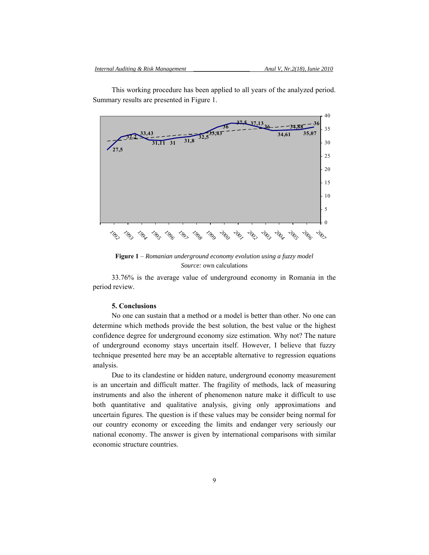

This working procedure has been applied to all years of the analyzed period. Summary results are presented in Figure 1.

**Figure 1** – *Romanian underground economy evolution using a fuzzy model Source:* own calculations

33.76% is the average value of underground economy in Romania in the period review.

### **5. Conclusions**

No one can sustain that a method or a model is better than other. No one can determine which methods provide the best solution, the best value or the highest confidence degree for underground economy size estimation. Why not? The nature of underground economy stays uncertain itself. However, I believe that fuzzy technique presented here may be an acceptable alternative to regression equations analysis.

Due to its clandestine or hidden nature, underground economy measurement is an uncertain and difficult matter. The fragility of methods, lack of measuring instruments and also the inherent of phenomenon nature make it difficult to use both quantitative and qualitative analysis, giving only approximations and uncertain figures. The question is if these values may be consider being normal for our country economy or exceeding the limits and endanger very seriously our national economy. The answer is given by international comparisons with similar economic structure countries.